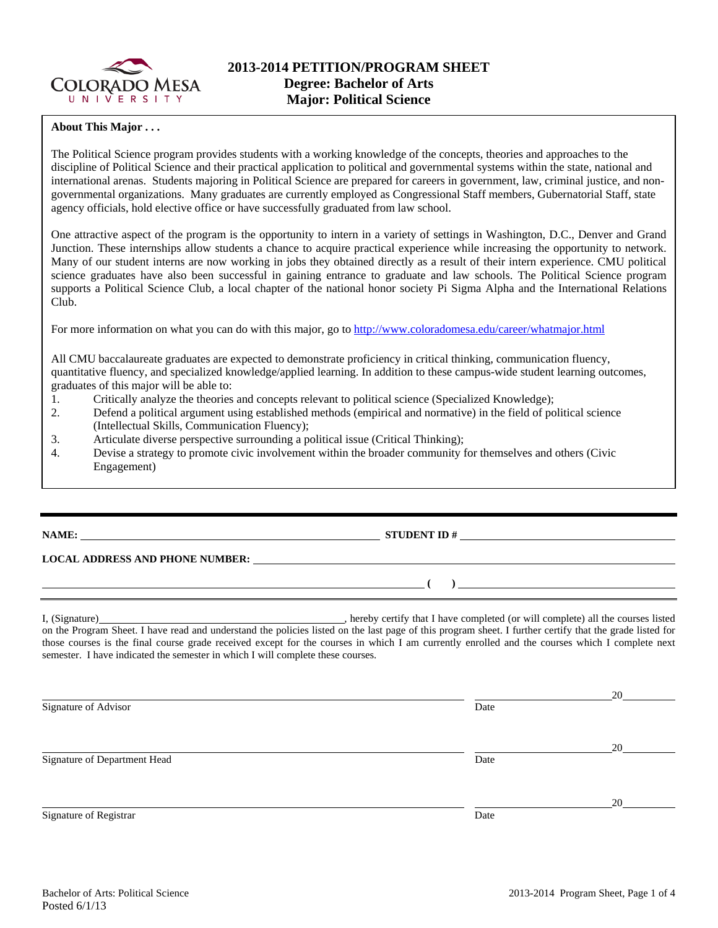

## **About This Major . . .**

The Political Science program provides students with a working knowledge of the concepts, theories and approaches to the discipline of Political Science and their practical application to political and governmental systems within the state, national and international arenas. Students majoring in Political Science are prepared for careers in government, law, criminal justice, and nongovernmental organizations. Many graduates are currently employed as Congressional Staff members, Gubernatorial Staff, state agency officials, hold elective office or have successfully graduated from law school.

One attractive aspect of the program is the opportunity to intern in a variety of settings in Washington, D.C., Denver and Grand Junction. These internships allow students a chance to acquire practical experience while increasing the opportunity to network. Many of our student interns are now working in jobs they obtained directly as a result of their intern experience. CMU political science graduates have also been successful in gaining entrance to graduate and law schools. The Political Science program supports a Political Science Club, a local chapter of the national honor society Pi Sigma Alpha and the International Relations Club.

For more information on what you can do with this major, go to http://www.coloradomesa.edu/career/whatmajor.html

All CMU baccalaureate graduates are expected to demonstrate proficiency in critical thinking, communication fluency, quantitative fluency, and specialized knowledge/applied learning. In addition to these campus-wide student learning outcomes, graduates of this major will be able to:

- 1. Critically analyze the theories and concepts relevant to political science (Specialized Knowledge);
- 2. Defend a political argument using established methods (empirical and normative) in the field of political science (Intellectual Skills, Communication Fluency);
- 3. Articulate diverse perspective surrounding a political issue (Critical Thinking);
- 4. Devise a strategy to promote civic involvement within the broader community for themselves and others (Civic Engagement)

# **NAME: STUDENT ID #**

 **( )** 

#### **LOCAL ADDRESS AND PHONE NUMBER:**

I, (Signature) , hereby certify that I have completed (or will complete) all the courses listed on the Program Sheet. I have read and understand the policies listed on the last page of this program sheet. I further certify that the grade listed for those courses is the final course grade received except for the courses in which I am currently enrolled and the courses which I complete next semester. I have indicated the semester in which I will complete these courses.

<u>20</u> Signature of Advisor Date <u>20</u> Signature of Department Head Date <u>20</u> Signature of Registrar Date and Separature of Registrar Date and Separature of Registrar Date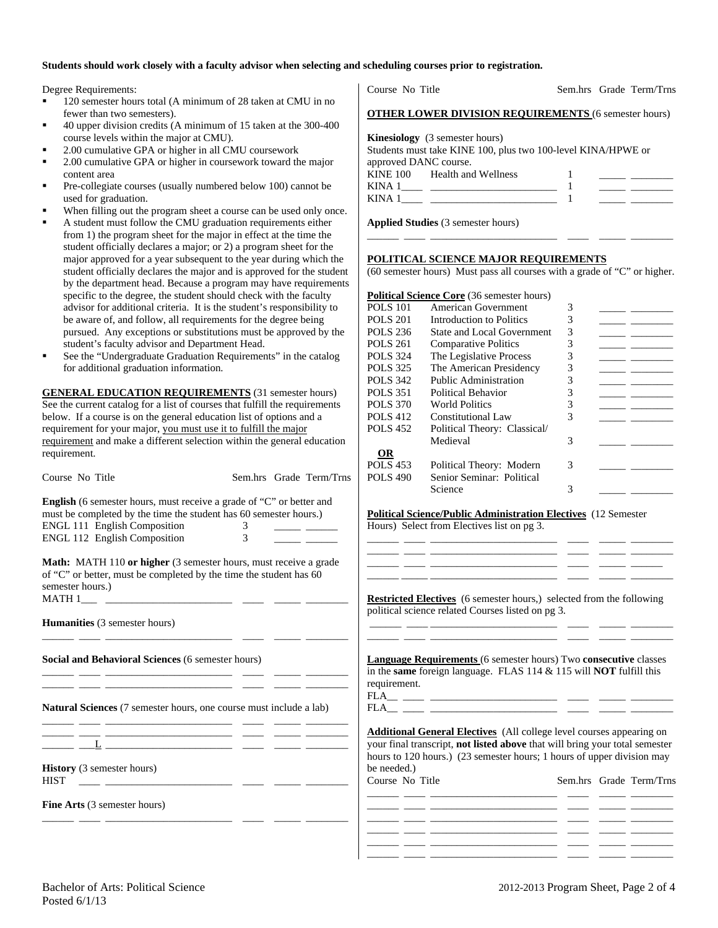#### **Students should work closely with a faculty advisor when selecting and scheduling courses prior to registration.**

Degree Requirements:

- 120 semester hours total (A minimum of 28 taken at CMU in no fewer than two semesters).
- 40 upper division credits (A minimum of 15 taken at the 300-400 course levels within the major at CMU).
- 2.00 cumulative GPA or higher in all CMU coursework
- 2.00 cumulative GPA or higher in coursework toward the major content area
- Pre-collegiate courses (usually numbered below 100) cannot be used for graduation.
- When filling out the program sheet a course can be used only once.
- A student must follow the CMU graduation requirements either from 1) the program sheet for the major in effect at the time the student officially declares a major; or 2) a program sheet for the major approved for a year subsequent to the year during which the student officially declares the major and is approved for the student by the department head. Because a program may have requirements specific to the degree, the student should check with the faculty advisor for additional criteria. It is the student's responsibility to be aware of, and follow, all requirements for the degree being pursued. Any exceptions or substitutions must be approved by the student's faculty advisor and Department Head.
- See the "Undergraduate Graduation Requirements" in the catalog for additional graduation information.

**GENERAL EDUCATION REQUIREMENTS** (31 semester hours) See the current catalog for a list of courses that fulfill the requirements below. If a course is on the general education list of options and a requirement for your major, you must use it to fulfill the major requirement and make a different selection within the general education requirement.

| Course No Title                                                                                                                                                                                                                      |                    | Sem.hrs Grade Term/Trns | <b>POLS 490</b>                | Senior Seminar: Political<br>Science                                                                                                                                                                                                 | 3 |                                  |
|--------------------------------------------------------------------------------------------------------------------------------------------------------------------------------------------------------------------------------------|--------------------|-------------------------|--------------------------------|--------------------------------------------------------------------------------------------------------------------------------------------------------------------------------------------------------------------------------------|---|----------------------------------|
| English (6 semester hours, must receive a grade of "C" or better and<br>must be completed by the time the student has 60 semester hours.)<br>ENGL 111 English Composition<br>ENGL 112 English Composition                            | 3<br>3             |                         |                                | <b>Political Science/Public Administration Electives</b> (12 Semester<br>Hours) Select from Electives list on pg 3.                                                                                                                  |   |                                  |
| Math: MATH 110 or higher (3 semester hours, must receive a grade<br>of "C" or better, must be completed by the time the student has 60<br>semester hours.)                                                                           |                    |                         |                                | <u> 1999 - Jan James Alemania, president estatubatuar estatubatuar estatubatuar estatubatuar estatubatuar estatub</u><br><b>Restricted Electives</b> (6 semester hours,) selected from the following                                 |   |                                  |
| Humanities (3 semester hours)                                                                                                                                                                                                        |                    |                         |                                | political science related Courses listed on pg 3.                                                                                                                                                                                    |   |                                  |
| Social and Behavioral Sciences (6 semester hours)                                                                                                                                                                                    |                    |                         | requirement.                   | <b>Language Requirements</b> (6 semester hours) Two consecutive classes<br>in the same foreign language. FLAS $114 \& 115$ will NOT fulfill this                                                                                     |   |                                  |
| Natural Sciences (7 semester hours, one course must include a lab)                                                                                                                                                                   |                    |                         |                                |                                                                                                                                                                                                                                      |   |                                  |
| <u> 1965 - John Harry Harry Harry Harry Harry Harry Harry Harry Harry Harry Harry Harry Harry Harry Harry Harry Harry Harry Harry Harry Harry Harry Harry Harry Harry Harry Harry Harry Harry Harry Harry Harry Harry Harry Harr</u> |                    |                         |                                | <b>Additional General Electives</b> (All college level courses appearing on<br>your final transcript, not listed above that will bring your total semester<br>hours to 120 hours.) (23 semester hours; 1 hours of upper division may |   |                                  |
| <b>History</b> (3 semester hours)<br><b>HIST</b><br><u> 1988 - Alexandria Statistica de la conte</u>                                                                                                                                 | the control of the |                         | be needed.)<br>Course No Title |                                                                                                                                                                                                                                      |   | Sem.hrs Grade Term/Trns          |
| <b>Fine Arts</b> (3 semester hours)                                                                                                                                                                                                  |                    |                         |                                | <u> 1989 - Jan Sterling and Sterling and Sterling and Sterling and Sterling and Sterling and Sterling and Sterling and</u>                                                                                                           |   | <u> The Common School (1989)</u> |

|                       | <b>OTHER LOWER DIVISION REQUIREMENTS (6 semester hours)</b>  |  |
|-----------------------|--------------------------------------------------------------|--|
|                       | <b>Kinesiology</b> (3 semester hours)                        |  |
|                       | Students must take KINE 100, plus two 100-level KINA/HPWE or |  |
| approved DANC course. |                                                              |  |
|                       | KINE 100 Health and Wellness                                 |  |
|                       |                                                              |  |
|                       |                                                              |  |
|                       | KINA 1                                                       |  |

Course No Title Sem.hrs Grade Term/Trns

**Applied Studies** (3 semester hours)

#### **POLITICAL SCIENCE MAJOR REQUIREMENTS**

(60 semester hours) Must pass all courses with a grade of "C" or higher.

\_\_\_\_\_\_ \_\_\_\_ \_\_\_\_\_\_\_\_\_\_\_\_\_\_\_\_\_\_\_\_\_\_\_\_ \_\_\_\_ \_\_\_\_\_ \_\_\_\_\_\_\_\_

#### **Political Science Core** (36 semester hours)

| American Government               | 3 |  |
|-----------------------------------|---|--|
| Introduction to Politics          | 3 |  |
| <b>State and Local Government</b> | 3 |  |
| <b>Comparative Politics</b>       | 3 |  |
| The Legislative Process           | 3 |  |
| The American Presidency           | 3 |  |
| <b>Public Administration</b>      | 3 |  |
| Political Behavior                | 3 |  |
| <b>World Politics</b>             | 3 |  |
| <b>Constitutional Law</b>         | 3 |  |
| Political Theory: Classical/      |   |  |
| Medieval                          | 3 |  |
|                                   |   |  |
| Political Theory: Modern          | 3 |  |
| Senior Seminar: Political         |   |  |
| Science                           |   |  |
|                                   |   |  |

## **Political Science/Public Administration Electives** (12 Semester

FLA\_\_ \_\_\_\_ \_\_\_\_\_\_\_\_\_\_\_\_\_\_\_\_\_\_\_\_\_\_\_\_ \_\_\_\_ \_\_\_\_\_ \_\_\_\_\_\_\_\_

| Sem.hrs Grade Term/Trns |
|-------------------------|
|                         |
|                         |
|                         |
|                         |
|                         |
|                         |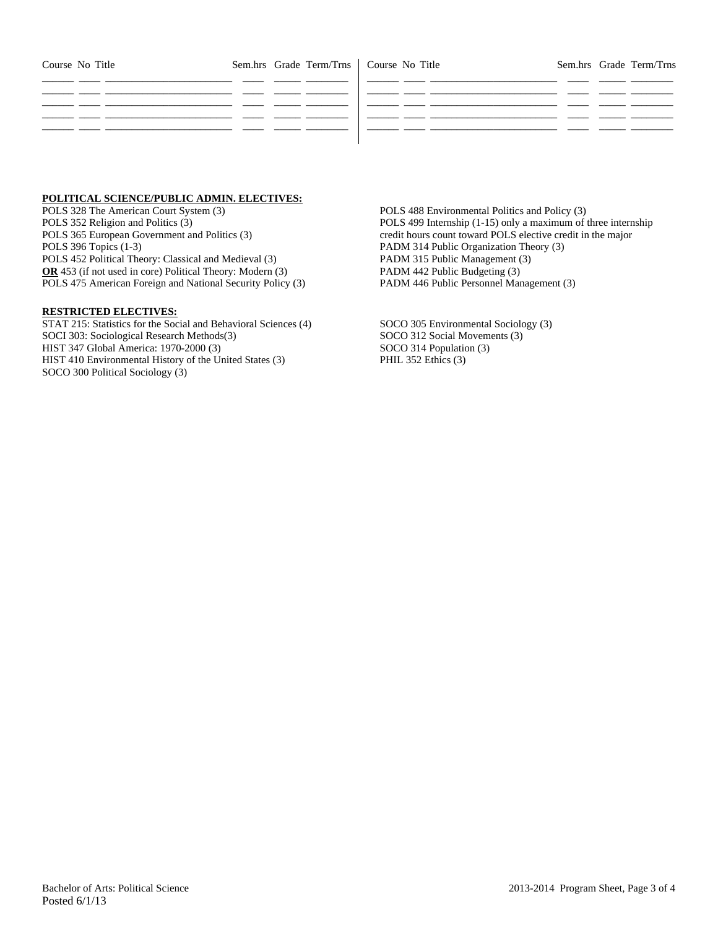| Course No Title |  | Sem.hrs Grade Term/Trns   Course No Title |  | Sem.hrs Grade Term/Trns |
|-----------------|--|-------------------------------------------|--|-------------------------|
|                 |  |                                           |  |                         |
|                 |  |                                           |  |                         |
|                 |  |                                           |  |                         |
|                 |  |                                           |  |                         |

## **POLITICAL SCIENCE/PUBLIC ADMIN. ELECTIVES:**

POLS 328 The American Court System (3) POLS 352 Religion and Politics (3) POLS 365 European Government and Politics (3) POLS 396 Topics (1-3) POLS 452 Political Theory: Classical and Medieval (3) **OR** 453 (if not used in core) Political Theory: Modern (3) POLS 475 American Foreign and National Security Policy (3)

#### **RESTRICTED ELECTIVES:**

STAT 215: Statistics for the Social and Behavioral Sciences (4) SOCI 303: Sociological Research Methods(3) HIST 347 Global America: 1970-2000 (3) HIST 410 Environmental History of the United States (3) SOCO 300 Political Sociology (3)

POLS 488 Environmental Politics and Policy (3) POLS 499 Internship (1-15) only a maximum of three internship credit hours count toward POLS elective credit in the major PADM 314 Public Organization Theory (3) PADM 315 Public Management (3) PADM 442 Public Budgeting (3) PADM 446 Public Personnel Management (3)

SOCO 305 Environmental Sociology (3) SOCO 312 Social Movements (3) SOCO 314 Population (3) PHIL 352 Ethics (3)